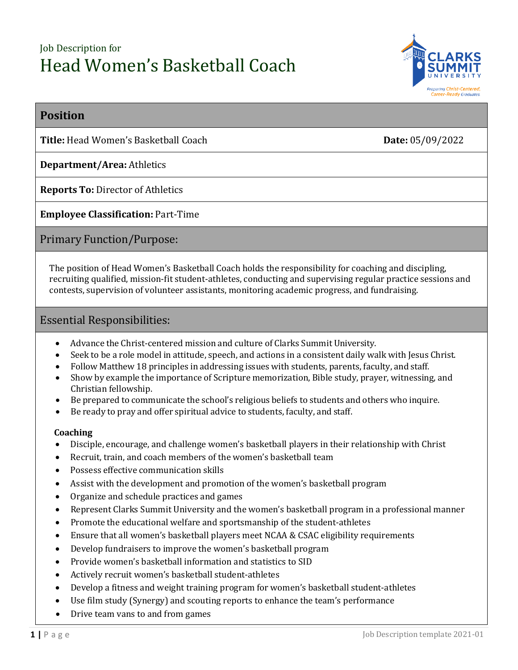# Job Description for Head Women's Basketball Coach



## **Position**

**Title:** Head Women's Basketball Coach **Date:** 05/09/2022

## **Department/Area:** Athletics

**Reports To:** Director of Athletics

## **Employee Classification:** Part-Time

## Primary Function/Purpose:

The position of Head Women's Basketball Coach holds the responsibility for coaching and discipling, recruiting qualified, mission-fit student-athletes, conducting and supervising regular practice sessions and contests, supervision of volunteer assistants, monitoring academic progress, and fundraising.

## Essential Responsibilities:

- Advance the Christ-centered mission and culture of Clarks Summit University.
- Seek to be a role model in attitude, speech, and actions in a consistent daily walk with Jesus Christ.
- Follow Matthew 18 principles in addressing issues with students, parents, faculty, and staff.
- Show by example the importance of Scripture memorization, Bible study, prayer, witnessing, and Christian fellowship.
- Be prepared to communicate the school's religious beliefs to students and others who inquire.
- Be ready to pray and offer spiritual advice to students, faculty, and staff.

### **Coaching**

- Disciple, encourage, and challenge women's basketball players in their relationship with Christ
- Recruit, train, and coach members of the women's basketball team
- Possess effective communication skills
- Assist with the development and promotion of the women's basketball program
- Organize and schedule practices and games
- Represent Clarks Summit University and the women's basketball program in a professional manner
- Promote the educational welfare and sportsmanship of the student-athletes
- Ensure that all women's basketball players meet NCAA & CSAC eligibility requirements
- Develop fundraisers to improve the women's basketball program
- Provide women's basketball information and statistics to SID
- Actively recruit women's basketball student-athletes
- Develop a fitness and weight training program for women's basketball student-athletes
- Use film study (Synergy) and scouting reports to enhance the team's performance
- Drive team vans to and from games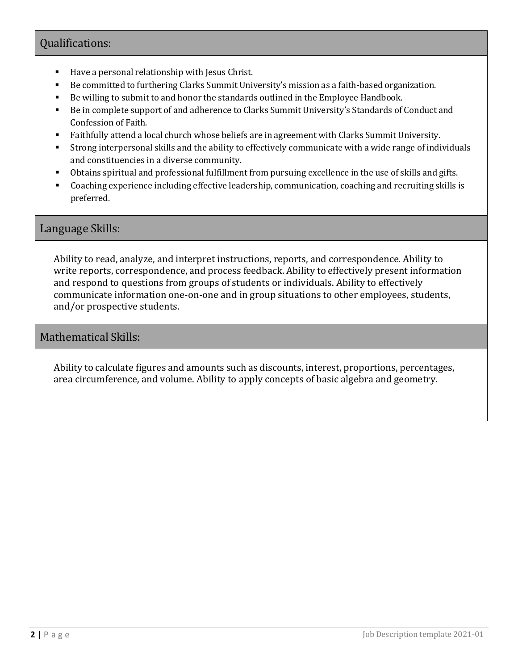## Qualifications:

- Have a personal relationship with Jesus Christ.
- Be committed to furthering Clarks Summit University's mission as a faith-based organization.
- Be willing to submit to and honor the standards outlined in the Employee Handbook.
- Be in complete support of and adherence to Clarks Summit University's Standards of Conduct and Confession of Faith.
- Faithfully attend a local church whose beliefs are in agreement with Clarks Summit University.
- Strong interpersonal skills and the ability to effectively communicate with a wide range of individuals and constituencies in a diverse community.
- Obtains spiritual and professional fulfillment from pursuing excellence in the use of skills and gifts.
- Coaching experience including effective leadership, communication, coaching and recruiting skills is preferred.

## Language Skills:

Ability to read, analyze, and interpret instructions, reports, and correspondence. Ability to write reports, correspondence, and process feedback. Ability to effectively present information and respond to questions from groups of students or individuals. Ability to effectively communicate information one-on-one and in group situations to other employees, students, and/or prospective students.

## Mathematical Skills:

Ability to calculate figures and amounts such as discounts, interest, proportions, percentages, area circumference, and volume. Ability to apply concepts of basic algebra and geometry.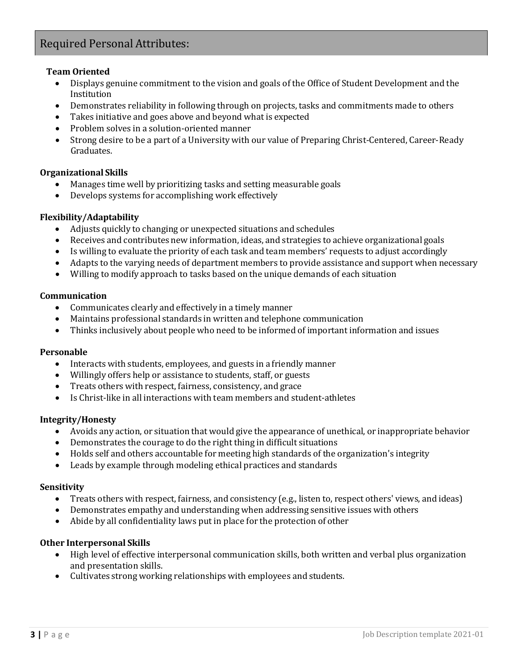## Required Personal Attributes:

### **Team Oriented**

- Displays genuine commitment to the vision and goals of the Office of Student Development and the Institution
- Demonstrates reliability in following through on projects, tasks and commitments made to others
- Takes initiative and goes above and beyond what is expected
- Problem solves in a solution-oriented manner
- Strong desire to be a part of a University with our value of Preparing Christ-Centered, Career-Ready Graduates.

#### **Organizational Skills**

- Manages time well by prioritizing tasks and setting measurable goals<br>• Develops systems for accomplishing work effectively
- Develops systems for accomplishing work effectively

#### **Flexibility/Adaptability**

- Adjusts quickly to changing or unexpected situations and schedules
- Receives and contributes new information, ideas, and strategies to achieve organizational goals
- Is willing to evaluate the priority of each task and team members' requests to adjust accordingly
- Adapts to the varying needs of department members to provide assistance and support when necessary
- Willing to modify approach to tasks based on the unique demands of each situation

#### **Communication**

- Communicates clearly and effectively in a timely manner
- Maintains professional standards in written and telephone communication
- Thinks inclusively about people who need to be informed of important information and issues

#### **Personable**

- Interacts with students, employees, and guests in a friendly manner
- Willingly offers help or assistance to students, staff, or guests
- Treats others with respect, fairness, consistency, and grace
- Is Christ-like in all interactions with team members and student-athletes

#### **Integrity/Honesty**

- Avoids any action, or situation that would give the appearance of unethical, or inappropriate behavior
- Demonstrates the courage to do the right thing in difficult situations
- Holds self and others accountable for meeting high standards of the organization's integrity
- Leads by example through modeling ethical practices and standards

#### **Sensitivity**

- Treats others with respect, fairness, and consistency (e.g., listen to, respect others' views, and ideas)<br>• Demonstrates emnathy and understanding when addressing sensitive issues with others
- Demonstrates empathy and understanding when addressing sensitive issues with others
- Abide by all confidentiality laws put in place for the protection of other

#### **Other Interpersonal Skills**

- High level of effective interpersonal communication skills, both written and verbal plus organization and presentation skills.
- Cultivates strong working relationships with employees and students.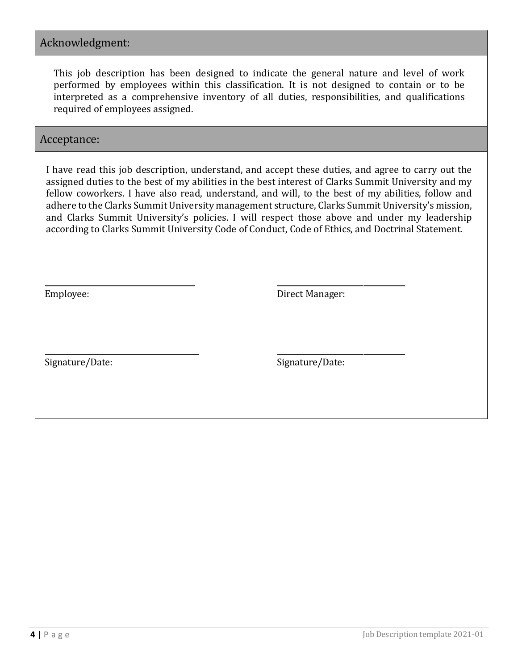## Acknowledgment:

This job description has been designed to indicate the general nature and level of work performed by employees within this classification. It is not designed to contain or to be interpreted as a comprehensive inventory of all duties, responsibilities, and qualifications required of employees assigned.

## Acceptance:

I have read this job description, understand, and accept these duties, and agree to carry out the assigned duties to the best of my abilities in the best interest of Clarks Summit University and my fellow coworkers. I have also read, understand, and will, to the best of my abilities, follow and adhere to the Clarks Summit University management structure, Clarks Summit University's mission, and Clarks Summit University's policies. I will respect those above and under my leadership according to Clarks Summit University Code of Conduct, Code of Ethics, and Doctrinal Statement.

Employee: Direct Manager:

Signature/Date: Signature/Date: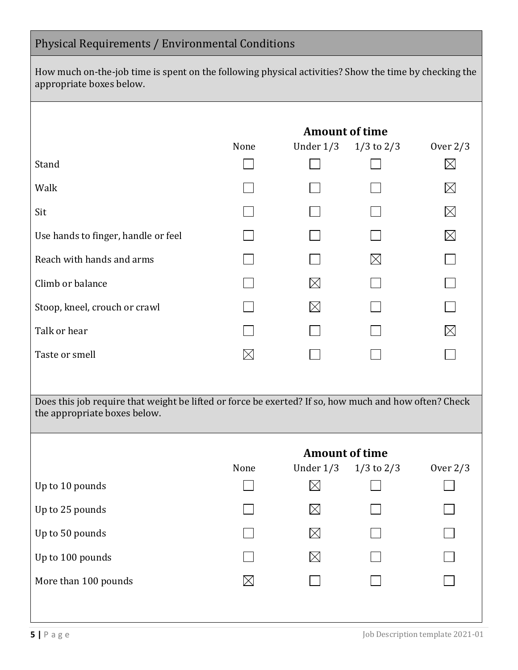# Physical Requirements / Environmental Conditions

How much on-the-job time is spent on the following physical activities? Show the time by checking the appropriate boxes below.

|                                                                                                                                       | <b>Amount of time</b> |             |                |             |
|---------------------------------------------------------------------------------------------------------------------------------------|-----------------------|-------------|----------------|-------------|
|                                                                                                                                       | None                  | Under $1/3$ | $1/3$ to $2/3$ | Over $2/3$  |
| Stand                                                                                                                                 |                       |             |                | $\times$    |
| Walk                                                                                                                                  |                       |             |                | $\boxtimes$ |
| Sit                                                                                                                                   |                       |             |                | $\times$    |
| Use hands to finger, handle or feel                                                                                                   |                       |             |                | $\times$    |
| Reach with hands and arms                                                                                                             |                       |             |                |             |
| Climb or balance                                                                                                                      |                       | IХI         |                |             |
| Stoop, kneel, crouch or crawl                                                                                                         |                       |             |                |             |
| Talk or hear                                                                                                                          |                       |             |                |             |
| Taste or smell                                                                                                                        | $\boxtimes$           |             |                |             |
|                                                                                                                                       |                       |             |                |             |
| Does this job require that weight be lifted or force be exerted? If so, how much and how often? Check<br>the appropriate boxes below. |                       |             |                |             |
|                                                                                                                                       |                       |             |                |             |

|                      |             | <b>Amount of time</b> |                |            |  |
|----------------------|-------------|-----------------------|----------------|------------|--|
|                      | None        | Under $1/3$           | $1/3$ to $2/3$ | Over $2/3$ |  |
| Up to 10 pounds      |             | $\boxtimes$           |                |            |  |
| Up to 25 pounds      |             | $\boxtimes$           |                |            |  |
| Up to 50 pounds      |             | M                     |                |            |  |
| Up to 100 pounds     |             | $\boxtimes$           |                |            |  |
| More than 100 pounds | $\boxtimes$ |                       |                |            |  |
|                      |             |                       |                |            |  |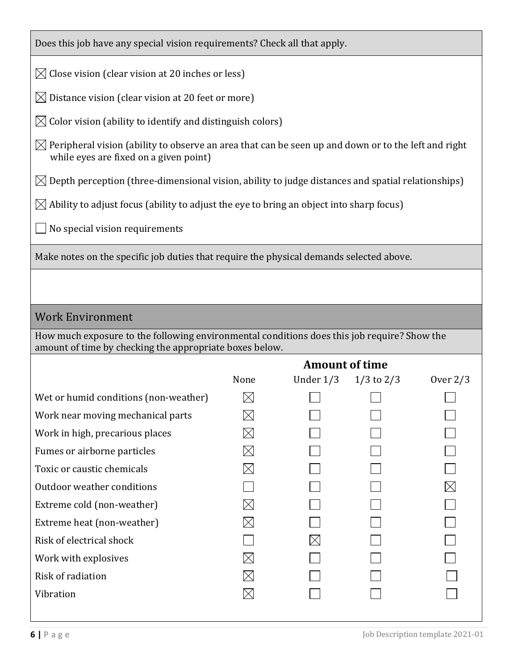Does this job have any special vision requirements? Check all that apply.

 $\boxtimes$  Close vision (clear vision at 20 inches or less)

 $\boxtimes$  Distance vision (clear vision at 20 feet or more)

 $\boxtimes$  Color vision (ability to identify and distinguish colors)

 $\boxtimes$  Peripheral vision (ability to observe an area that can be seen up and down or to the left and right while eyes are fixed on a given point)

 $\boxtimes$  Depth perception (three-dimensional vision, ability to judge distances and spatial relationships)

 $\boxtimes$  Ability to adjust focus (ability to adjust the eye to bring an object into sharp focus)

 $\Box$  No special vision requirements

Make notes on the specific job duties that require the physical demands selected above.

## Work Environment

How much exposure to the following environmental conditions does this job require? Show the amount of time by checking the appropriate boxes below.

|                                       | <b>Amount of time</b> |             |                |            |
|---------------------------------------|-----------------------|-------------|----------------|------------|
|                                       | None                  | Under $1/3$ | $1/3$ to $2/3$ | Over $2/3$ |
| Wet or humid conditions (non-weather) | $\boxtimes$           |             |                |            |
| Work near moving mechanical parts     | $\boxtimes$           |             |                |            |
| Work in high, precarious places       | $\boxtimes$           |             |                |            |
| Fumes or airborne particles           | $\boxtimes$           |             |                |            |
| Toxic or caustic chemicals            | $\boxtimes$           |             |                |            |
| Outdoor weather conditions            |                       |             |                | $\times$   |
| Extreme cold (non-weather)            | $\boxtimes$           |             |                |            |
| Extreme heat (non-weather)            | $\boxtimes$           |             |                |            |
| Risk of electrical shock              |                       |             |                |            |
| Work with explosives                  | $\boxtimes$           |             |                |            |
| Risk of radiation                     | $\boxtimes$           |             |                |            |
| Vibration                             |                       |             |                |            |
|                                       |                       |             |                |            |